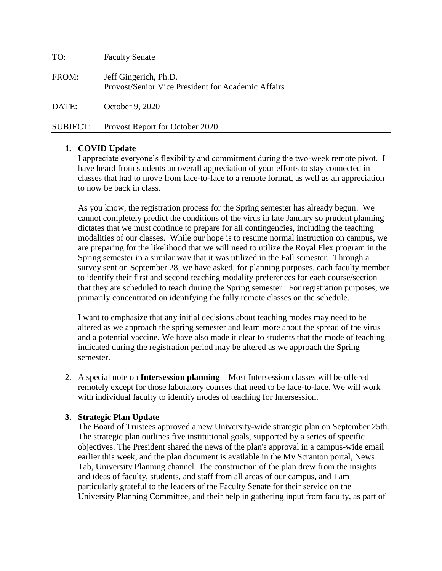| TO:             | <b>Faculty Senate</b>                                                              |
|-----------------|------------------------------------------------------------------------------------|
| FROM:           | Jeff Gingerich, Ph.D.<br><b>Provost/Senior Vice President for Academic Affairs</b> |
| DATE:           | October 9, 2020                                                                    |
| <b>SUBJECT:</b> | Provost Report for October 2020                                                    |

#### **1. COVID Update**

I appreciate everyone's flexibility and commitment during the two-week remote pivot. I have heard from students an overall appreciation of your efforts to stay connected in classes that had to move from face-to-face to a remote format, as well as an appreciation to now be back in class.

As you know, the registration process for the Spring semester has already begun. We cannot completely predict the conditions of the virus in late January so prudent planning dictates that we must continue to prepare for all contingencies, including the teaching modalities of our classes. While our hope is to resume normal instruction on campus, we are preparing for the likelihood that we will need to utilize the Royal Flex program in the Spring semester in a similar way that it was utilized in the Fall semester. Through a survey sent on September 28, we have asked, for planning purposes, each faculty member to identify their first and second teaching modality preferences for each course/section that they are scheduled to teach during the Spring semester. For registration purposes, we primarily concentrated on identifying the fully remote classes on the schedule.

I want to emphasize that any initial decisions about teaching modes may need to be altered as we approach the spring semester and learn more about the spread of the virus and a potential vaccine. We have also made it clear to students that the mode of teaching indicated during the registration period may be altered as we approach the Spring semester.

2. A special note on **Intersession planning** – Most Intersession classes will be offered remotely except for those laboratory courses that need to be face-to-face. We will work with individual faculty to identify modes of teaching for Intersession.

#### **3. Strategic Plan Update**

The Board of Trustees approved a new University-wide strategic plan on September 25th. The strategic plan outlines five institutional goals, supported by a series of specific objectives. The President shared the news of the plan's approval in a campus-wide email earlier this week, and the plan document is available in the My.Scranton portal, News Tab, University Planning channel. The construction of the plan drew from the insights and ideas of faculty, students, and staff from all areas of our campus, and I am particularly grateful to the leaders of the Faculty Senate for their service on the University Planning Committee, and their help in gathering input from faculty, as part of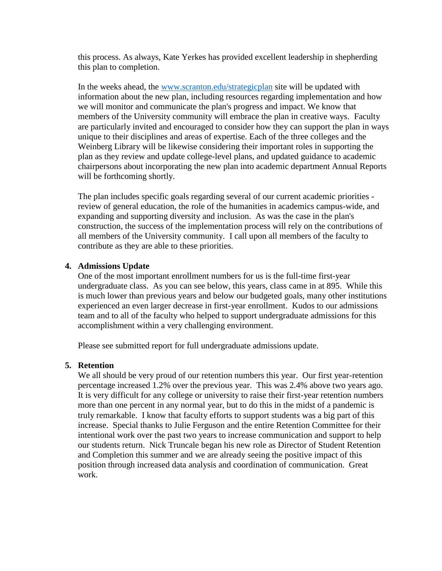this process. As always, Kate Yerkes has provided excellent leadership in shepherding this plan to completion.

In the weeks ahead, the [www.scranton.edu/strategicplan](http://www.scranton.edu/strategicplan) site will be updated with information about the new plan, including resources regarding implementation and how we will monitor and communicate the plan's progress and impact. We know that members of the University community will embrace the plan in creative ways. Faculty are particularly invited and encouraged to consider how they can support the plan in ways unique to their disciplines and areas of expertise. Each of the three colleges and the Weinberg Library will be likewise considering their important roles in supporting the plan as they review and update college-level plans, and updated guidance to academic chairpersons about incorporating the new plan into academic department Annual Reports will be forthcoming shortly.

The plan includes specific goals regarding several of our current academic priorities review of general education, the role of the humanities in academics campus-wide, and expanding and supporting diversity and inclusion. As was the case in the plan's construction, the success of the implementation process will rely on the contributions of all members of the University community. I call upon all members of the faculty to contribute as they are able to these priorities.

#### **4. Admissions Update**

One of the most important enrollment numbers for us is the full-time first-year undergraduate class. As you can see below, this years, class came in at 895. While this is much lower than previous years and below our budgeted goals, many other institutions experienced an even larger decrease in first-year enrollment. Kudos to our admissions team and to all of the faculty who helped to support undergraduate admissions for this accomplishment within a very challenging environment.

Please see submitted report for full undergraduate admissions update.

#### **5. Retention**

We all should be very proud of our retention numbers this year. Our first year-retention percentage increased 1.2% over the previous year. This was 2.4% above two years ago. It is very difficult for any college or university to raise their first-year retention numbers more than one percent in any normal year, but to do this in the midst of a pandemic is truly remarkable. I know that faculty efforts to support students was a big part of this increase. Special thanks to Julie Ferguson and the entire Retention Committee for their intentional work over the past two years to increase communication and support to help our students return. Nick Truncale began his new role as Director of Student Retention and Completion this summer and we are already seeing the positive impact of this position through increased data analysis and coordination of communication. Great work.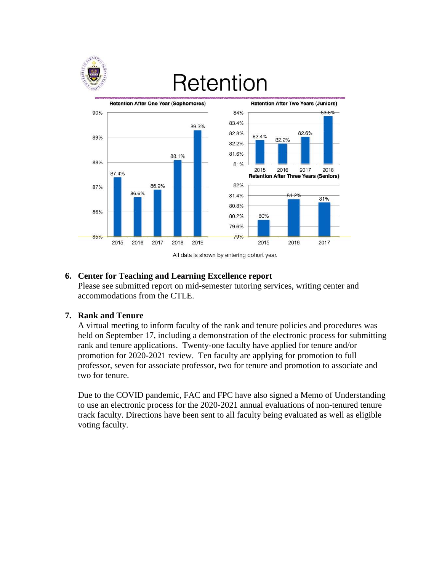

### Retention





#### **6. Center for Teaching and Learning Excellence report**

Please see submitted report on mid-semester tutoring services, writing center and accommodations from the CTLE.

#### **7. Rank and Tenure**

A virtual meeting to inform faculty of the rank and tenure policies and procedures was held on September 17, including a demonstration of the electronic process for submitting rank and tenure applications. Twenty-one faculty have applied for tenure and/or promotion for 2020-2021 review. Ten faculty are applying for promotion to full professor, seven for associate professor, two for tenure and promotion to associate and two for tenure.

Due to the COVID pandemic, FAC and FPC have also signed a Memo of Understanding to use an electronic process for the 2020-2021 annual evaluations of non-tenured tenure track faculty. Directions have been sent to all faculty being evaluated as well as eligible voting faculty.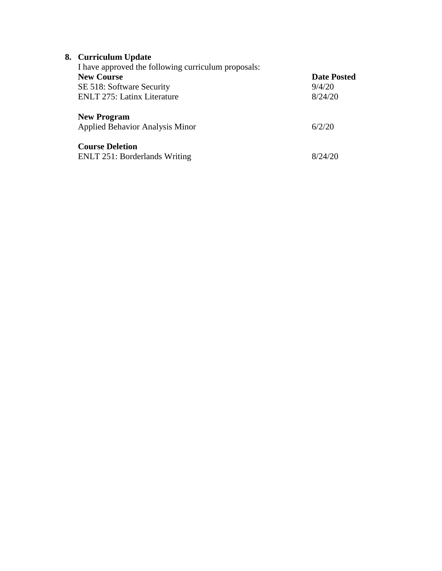| 8. Curriculum Update<br>I have approved the following curriculum proposals: |                    |
|-----------------------------------------------------------------------------|--------------------|
| <b>New Course</b>                                                           | <b>Date Posted</b> |
| SE 518: Software Security                                                   | 9/4/20             |
| <b>ENLT 275: Latinx Literature</b>                                          | 8/24/20            |
| <b>New Program</b>                                                          |                    |
| Applied Behavior Analysis Minor                                             | 6/2/20             |
| <b>Course Deletion</b>                                                      |                    |
| <b>ENLT 251: Borderlands Writing</b>                                        | 8/24/20            |
|                                                                             |                    |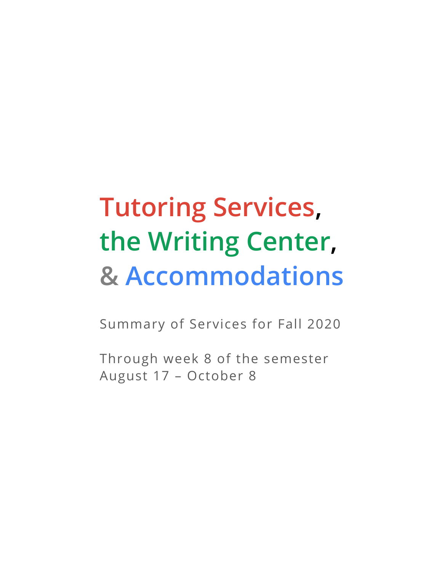## **Tutoring Services, the Writing Center, & Accommodations**

Summary of Services for Fall 2020

Through week 8 of the semester August 17 – October 8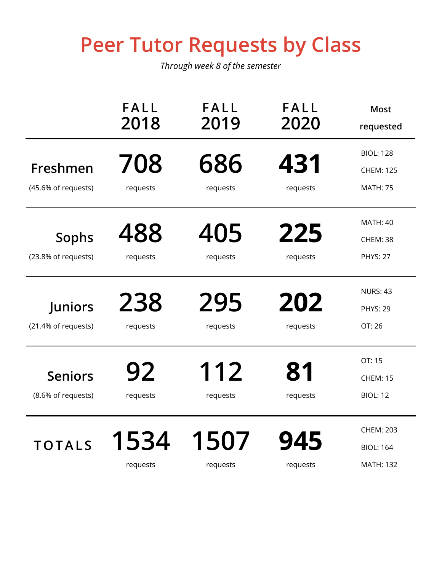### **Peer Tutor Requests by Class**

|                                      | <b>FALL</b><br>2018 | <b>FALL</b><br>2019 | <b>FALL</b><br>2020 | <b>Most</b><br>requested                                 |
|--------------------------------------|---------------------|---------------------|---------------------|----------------------------------------------------------|
| Freshmen<br>(45.6% of requests)      | 708<br>requests     | 686<br>requests     | 431<br>requests     | <b>BIOL: 128</b><br><b>CHEM: 125</b><br><b>MATH: 75</b>  |
| <b>Sophs</b><br>(23.8% of requests)  | 488<br>requests     | 405<br>requests     | 225<br>requests     | <b>MATH: 40</b><br><b>CHEM: 38</b><br><b>PHYS: 27</b>    |
| Juniors<br>(21.4% of requests)       | 238<br>requests     | 295<br>requests     | 202<br>requests     | <b>NURS: 43</b><br><b>PHYS: 29</b><br>OT: 26             |
| <b>Seniors</b><br>(8.6% of requests) | 92<br>requests      | 112<br>requests     | 81<br>requests      | OT: 15<br><b>CHEM: 15</b><br><b>BIOL: 12</b>             |
| <b>TOTALS</b>                        | 1534<br>requests    | 1507<br>requests    | 945<br>requests     | <b>CHEM: 203</b><br><b>BIOL: 164</b><br><b>MATH: 132</b> |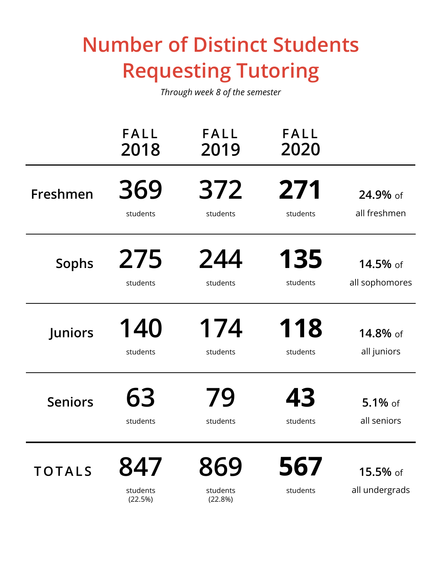### **Number of Distinct Students Requesting Tutoring**

|                | FALL<br>2018               | FALL<br>2019               | <b>FALL</b><br>2020 |                            |
|----------------|----------------------------|----------------------------|---------------------|----------------------------|
| Freshmen       | 369                        | 372                        | 271                 | 24.9% of                   |
|                | students                   | students                   | students            | all freshmen               |
| <b>Sophs</b>   | 275                        | 244                        | 135                 | 14.5% of                   |
|                | students                   | students                   | students            | all sophomores             |
| Juniors        | 140                        | 174                        | 118                 | 14.8% of                   |
|                | students                   | students                   | students            | all juniors                |
| <b>Seniors</b> | 63                         | 79                         | 43                  | $5.1\%$ of                 |
|                | students                   | students                   | students            | all seniors                |
| <b>TOTALS</b>  | 847<br>students<br>(22.5%) | 869<br>students<br>(22.8%) | 567<br>students     | 15.5% of<br>all undergrads |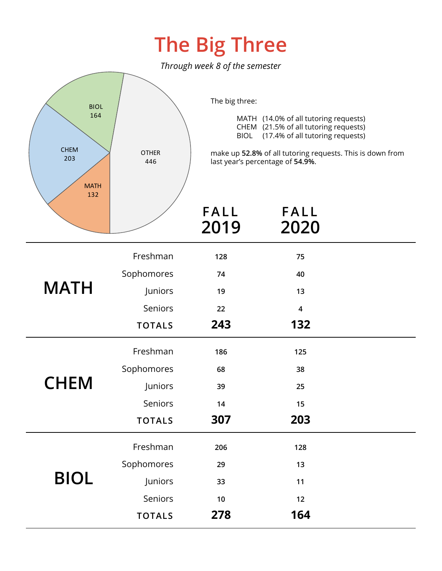### **The Big Three**

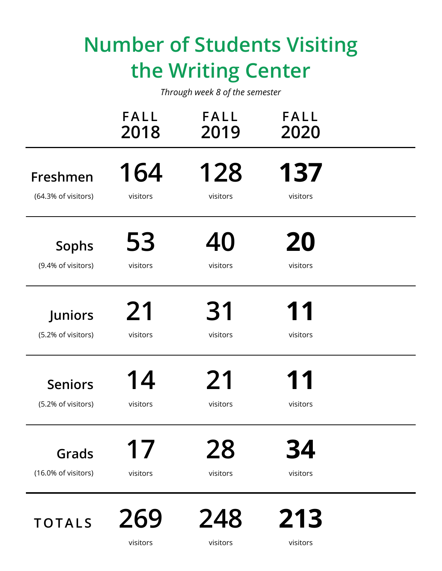### **Number of Students Visiting the Writing Center**

|                     | <b>FALL</b><br>2018 | <b>FALL</b><br>2019 | <b>FALL</b><br>2020 |  |
|---------------------|---------------------|---------------------|---------------------|--|
| Freshmen            | 164                 | 128                 | 137                 |  |
| (64.3% of visitors) | visitors            | visitors            | visitors            |  |
| <b>Sophs</b>        | 53                  | 40                  | 20                  |  |
| (9.4% of visitors)  | visitors            | visitors            | visitors            |  |
| Juniors             | 21                  | 31                  | 11                  |  |
| (5.2% of visitors)  | visitors            | visitors            | visitors            |  |
| <b>Seniors</b>      | 14                  | 21                  | 11                  |  |
| (5.2% of visitors)  | visitors            | visitors            | visitors            |  |
| Grads               | 17                  | 28                  | 34                  |  |
| (16.0% of visitors) | visitors            | visitors            | visitors            |  |
| <b>TOTALS</b>       | 269<br>visitors     | 248<br>visitors     | 213<br>visitors     |  |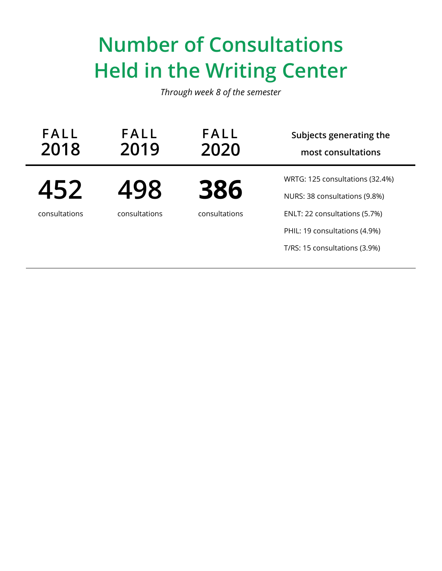### **Number of Consultations Held in the Writing Center**

| <b>FALL</b><br>2019 | FALL<br>2020  | Subjects generating the<br>most consultations                    |
|---------------------|---------------|------------------------------------------------------------------|
| 498                 | 386           | WRTG: 125 consultations (32.4%)<br>NURS: 38 consultations (9.8%) |
| consultations       | consultations | ENLT: 22 consultations (5.7%)                                    |
|                     |               | PHIL: 19 consultations (4.9%)<br>T/RS: 15 consultations (3.9%)   |
|                     |               |                                                                  |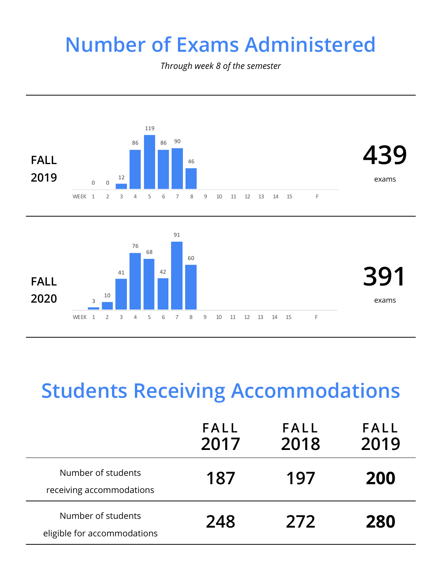#### **Number of Exams Administered**

*Through week 8 of the semester*





### **Students Receiving Accommodations**

|                                                   | FALL<br>2017 | FALL<br>2018 | <b>FALL</b><br>2019 |
|---------------------------------------------------|--------------|--------------|---------------------|
| Number of students<br>receiving accommodations    | 187          | 197          | <b>200</b>          |
| Number of students<br>eligible for accommodations | 248          | 272          | 280                 |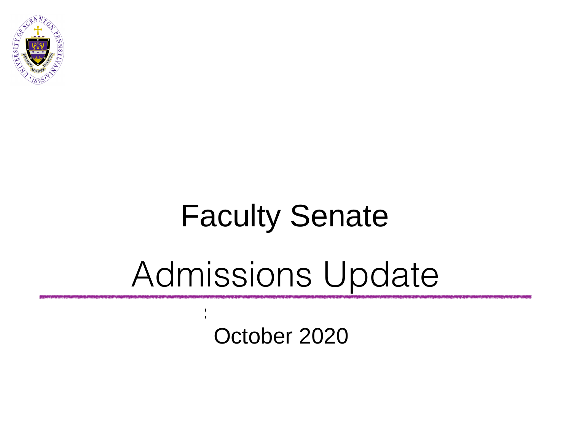

## Board of Trustees Faculty Senate

## Admissions Update

 $\frac{1}{\sqrt{2}}$ October 2020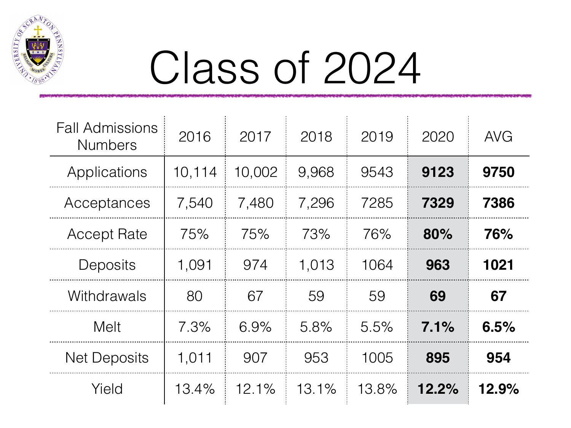

# Class of 2024

| <b>Fall Admissions</b><br><b>Numbers</b> | 2016   | 2017   | 2018  | 2019  | 2020  | <b>AVG</b> |
|------------------------------------------|--------|--------|-------|-------|-------|------------|
| Applications                             | 10,114 | 10,002 | 9,968 | 9543  | 9123  | 9750       |
| Acceptances                              | 7,540  | 7,480  | 7,296 | 7285  | 7329  | 7386       |
| <b>Accept Rate</b>                       | 75%    | 75%    | 73%   | 76%   | 80%   | 76%        |
| Deposits                                 | 1,091  | 974    | 1,013 | 1064  | 963   | 1021       |
| Withdrawals                              | 80     | 67     | 59    | 59    | 69    | 67         |
| Melt                                     | 7.3%   | 6.9%   | 5.8%  | 5.5%  | 7.1%  | 6.5%       |
| <b>Net Deposits</b>                      | 1,011  | 907    | 953   | 1005  | 895   | 954        |
| Yield                                    | 13.4%  | 12.1%  | 13.1% | 13.8% | 12.2% | 12.9%      |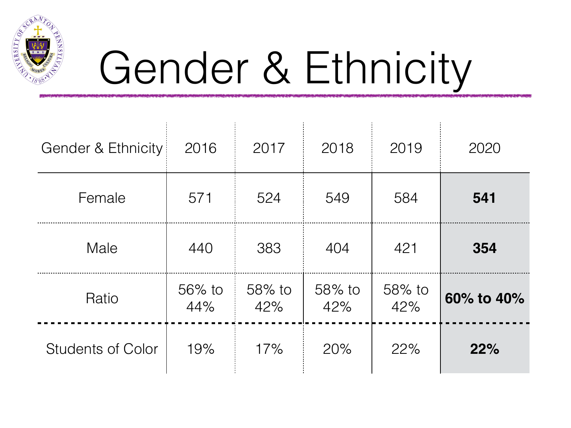

# Gender & Ethnicity

| Gender & Ethnicity       | 2016          | 2017          | 2018          | 2019          | 2020       |
|--------------------------|---------------|---------------|---------------|---------------|------------|
| Female                   | 571           | 524           | 549           | 584           | 541        |
| Male                     | 440           | 383           | 404           | 421           | 354        |
| Ratio                    | 56% to<br>44% | 58% to<br>42% | 58% to<br>42% | 58% to<br>42% | 60% to 40% |
| <b>Students of Color</b> | 19%           | 17%           | 20%           | 22%           | 22%        |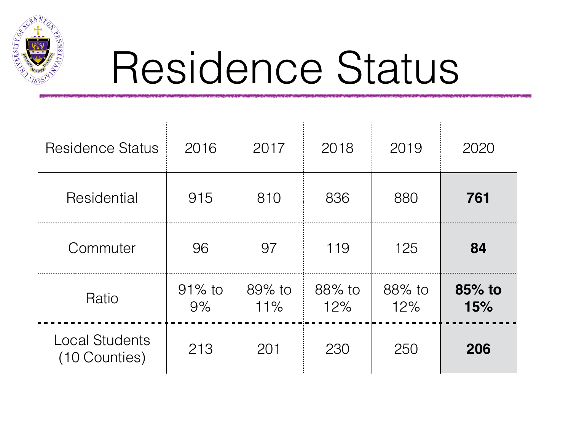

## Residence Status

| <b>Residence Status</b>                | 2016            | 2017          | 2018          | 2019          | 2020          |
|----------------------------------------|-----------------|---------------|---------------|---------------|---------------|
| Residential                            | 915             | 810           | 836           | 880           | 761           |
| Commuter                               | 96              | 97            | 119           | 125           | 84            |
| Ratio                                  | $91\%$ to<br>9% | 89% to<br>11% | 88% to<br>12% | 88% to<br>12% | 85% to<br>15% |
| <b>Local Students</b><br>(10 Counties) | 213             | 201           | 230           | 250           | 206           |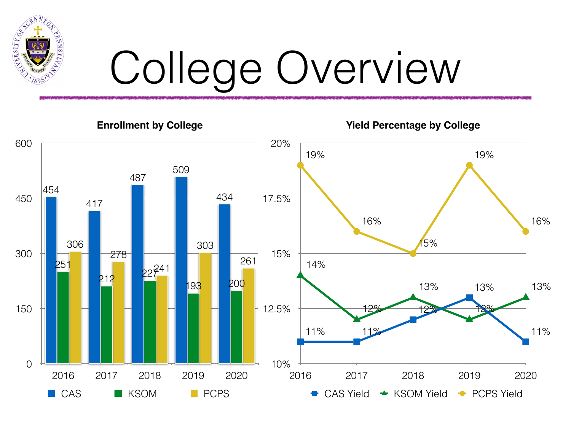

# College Overview

**Enrollment by College**

**Yield Percentage by College**

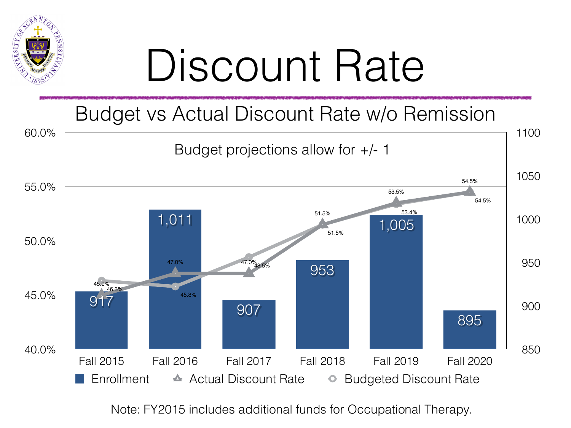

# Discount Rate

## Budget vs Actual Discount Rate w/o Remission



Note: FY2015 includes additional funds for Occupational Therapy.